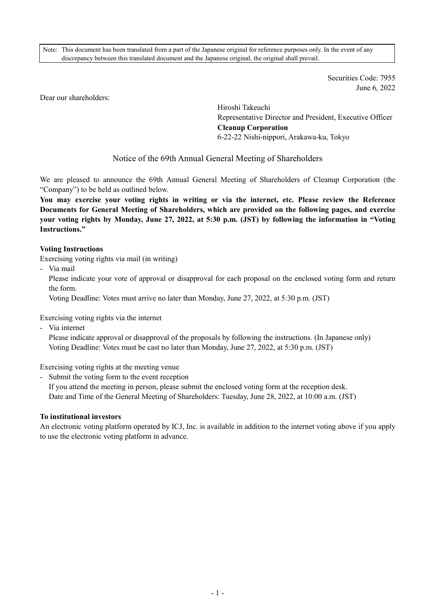Note: This document has been translated from a part of the Japanese original for reference purposes only. In the event of any discrepancy between this translated document and the Japanese original, the original shall prevail.

> Securities Code: 7955 June 6, 2022

Dear our shareholders:

Hiroshi Takeuchi Representative Director and President, Executive Officer **Cleanup Corporation**  6-22-22 Nishi-nippori, Arakawa-ku, Tokyo

# Notice of the 69th Annual General Meeting of Shareholders

We are pleased to announce the 69th Annual General Meeting of Shareholders of Cleanup Corporation (the "Company") to be held as outlined below.

**You may exercise your voting rights in writing or via the internet, etc. Please review the Reference Documents for General Meeting of Shareholders, which are provided on the following pages, and exercise your voting rights by Monday, June 27, 2022, at 5:30 p.m. (JST) by following the information in "Voting Instructions."** 

#### **Voting Instructions**

Exercising voting rights via mail (in writing)

- Via mail

Please indicate your vote of approval or disapproval for each proposal on the enclosed voting form and return the form.

Voting Deadline: Votes must arrive no later than Monday, June 27, 2022, at 5:30 p.m. (JST)

Exercising voting rights via the internet

- Via internet

Please indicate approval or disapproval of the proposals by following the instructions. (In Japanese only) Voting Deadline: Votes must be cast no later than Monday, June 27, 2022, at 5:30 p.m. (JST)

Exercising voting rights at the meeting venue

- Submit the voting form to the event reception

If you attend the meeting in person, please submit the enclosed voting form at the reception desk. Date and Time of the General Meeting of Shareholders: Tuesday, June 28, 2022, at 10:00 a.m. (JST)

#### **To institutional investors**

An electronic voting platform operated by ICJ, Inc. is available in addition to the internet voting above if you apply to use the electronic voting platform in advance.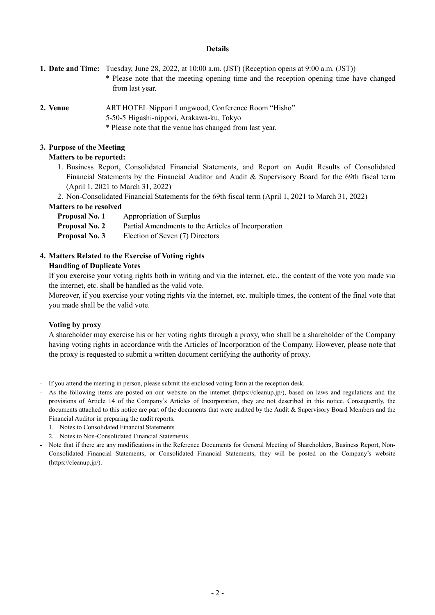#### **Details**

**1. Date and Time:** Tuesday, June 28, 2022, at 10:00 a.m. (JST) (Reception opens at 9:00 a.m. (JST))

- \* Please note that the meeting opening time and the reception opening time have changed from last year.
- 
- 2. Venue **ART HOTEL Nippori Lungwood, Conference Room** "Hisho"
	- 5-50-5 Higashi-nippori, Arakawa-ku, Tokyo
	- \* Please note that the venue has changed from last year.

### **3. Purpose of the Meeting**

### **Matters to be reported:**

- 1. Business Report, Consolidated Financial Statements, and Report on Audit Results of Consolidated Financial Statements by the Financial Auditor and Audit & Supervisory Board for the 69th fiscal term (April 1, 2021 to March 31, 2022)
- 2. Non-Consolidated Financial Statements for the 69th fiscal term (April 1, 2021 to March 31, 2022)

### **Matters to be resolved**

| <b>Proposal No. 1</b> | Appropriation of Surplus                            |
|-----------------------|-----------------------------------------------------|
| <b>Proposal No. 2</b> | Partial Amendments to the Articles of Incorporation |
| <b>Proposal No. 3</b> | Election of Seven (7) Directors                     |

### **4. Matters Related to the Exercise of Voting rights**

### **Handling of Duplicate Votes**

If you exercise your voting rights both in writing and via the internet, etc., the content of the vote you made via the internet, etc. shall be handled as the valid vote.

Moreover, if you exercise your voting rights via the internet, etc. multiple times, the content of the final vote that you made shall be the valid vote.

#### **Voting by proxy**

A shareholder may exercise his or her voting rights through a proxy, who shall be a shareholder of the Company having voting rights in accordance with the Articles of Incorporation of the Company. However, please note that the proxy is requested to submit a written document certifying the authority of proxy.

- If you attend the meeting in person, please submit the enclosed voting form at the reception desk.
- As the following items are posted on our website on the internet (https://cleanup.jp/), based on laws and regulations and the provisions of Article 14 of the Company's Articles of Incorporation, they are not described in this notice. Consequently, the documents attached to this notice are part of the documents that were audited by the Audit & Supervisory Board Members and the Financial Auditor in preparing the audit reports.
	- 1. Notes to Consolidated Financial Statements
	- 2. Notes to Non-Consolidated Financial Statements
- Note that if there are any modifications in the Reference Documents for General Meeting of Shareholders, Business Report, Non-Consolidated Financial Statements, or Consolidated Financial Statements, they will be posted on the Company's website (https://cleanup.jp/).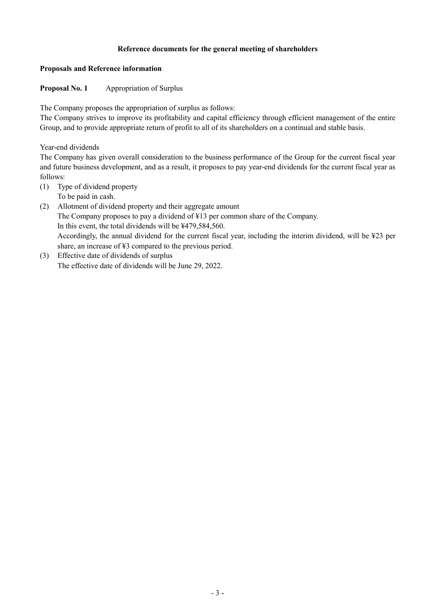### **Reference documents for the general meeting of shareholders**

#### **Proposals and Reference information**

# **Proposal No. 1 Appropriation of Surplus**

The Company proposes the appropriation of surplus as follows:

The Company strives to improve its profitability and capital efficiency through efficient management of the entire Group, and to provide appropriate return of profit to all of its shareholders on a continual and stable basis.

Year-end dividends

The Company has given overall consideration to the business performance of the Group for the current fiscal year and future business development, and as a result, it proposes to pay year-end dividends for the current fiscal year as follows:

- (1) Type of dividend property
	- To be paid in cash.
- (2) Allotment of dividend property and their aggregate amount The Company proposes to pay a dividend of ¥13 per common share of the Company. In this event, the total dividends will be ¥479,584,560. Accordingly, the annual dividend for the current fiscal year, including the interim dividend, will be ¥23 per share, an increase of ¥3 compared to the previous period.
- (3) Effective date of dividends of surplus The effective date of dividends will be June 29, 2022.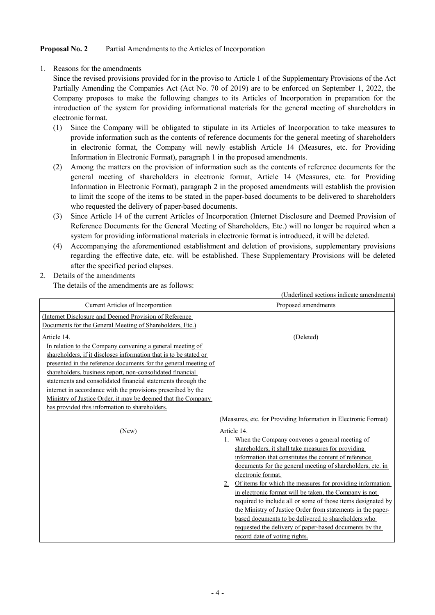# **Proposal No. 2** Partial Amendments to the Articles of Incorporation

1. Reasons for the amendments

Since the revised provisions provided for in the proviso to Article 1 of the Supplementary Provisions of the Act Partially Amending the Companies Act (Act No. 70 of 2019) are to be enforced on September 1, 2022, the Company proposes to make the following changes to its Articles of Incorporation in preparation for the introduction of the system for providing informational materials for the general meeting of shareholders in electronic format.

- (1) Since the Company will be obligated to stipulate in its Articles of Incorporation to take measures to provide information such as the contents of reference documents for the general meeting of shareholders in electronic format, the Company will newly establish Article 14 (Measures, etc. for Providing Information in Electronic Format), paragraph 1 in the proposed amendments.
- (2) Among the matters on the provision of information such as the contents of reference documents for the general meeting of shareholders in electronic format, Article 14 (Measures, etc. for Providing Information in Electronic Format), paragraph 2 in the proposed amendments will establish the provision to limit the scope of the items to be stated in the paper-based documents to be delivered to shareholders who requested the delivery of paper-based documents.
- (3) Since Article 14 of the current Articles of Incorporation (Internet Disclosure and Deemed Provision of Reference Documents for the General Meeting of Shareholders, Etc.) will no longer be required when a system for providing informational materials in electronic format is introduced, it will be deleted.
- (4) Accompanying the aforementioned establishment and deletion of provisions, supplementary provisions regarding the effective date, etc. will be established. These Supplementary Provisions will be deleted after the specified period elapses.
- 2. Details of the amendments

The details of the amendments are as follows:

|                                                                                                                                                                                                                                                                                                                                                                                                                                                                                                                                        | (Underlined sections indicate amendments)                                                                                                                                                                                                                                                                                                                                                                                                                                                      |
|----------------------------------------------------------------------------------------------------------------------------------------------------------------------------------------------------------------------------------------------------------------------------------------------------------------------------------------------------------------------------------------------------------------------------------------------------------------------------------------------------------------------------------------|------------------------------------------------------------------------------------------------------------------------------------------------------------------------------------------------------------------------------------------------------------------------------------------------------------------------------------------------------------------------------------------------------------------------------------------------------------------------------------------------|
| Current Articles of Incorporation                                                                                                                                                                                                                                                                                                                                                                                                                                                                                                      | Proposed amendments                                                                                                                                                                                                                                                                                                                                                                                                                                                                            |
| (Internet Disclosure and Deemed Provision of Reference<br>Documents for the General Meeting of Shareholders, Etc.)                                                                                                                                                                                                                                                                                                                                                                                                                     |                                                                                                                                                                                                                                                                                                                                                                                                                                                                                                |
| <u>Article 14.</u><br>In relation to the Company convening a general meeting of<br>shareholders, if it discloses information that is to be stated or<br>presented in the reference documents for the general meeting of<br>shareholders, business report, non-consolidated financial<br>statements and consolidated financial statements through the<br>internet in accordance with the provisions prescribed by the<br>Ministry of Justice Order, it may be deemed that the Company<br>has provided this information to shareholders. | (Deleted)                                                                                                                                                                                                                                                                                                                                                                                                                                                                                      |
| (New)                                                                                                                                                                                                                                                                                                                                                                                                                                                                                                                                  | (Measures, etc. for Providing Information in Electronic Format)<br>Article 14.<br>When the Company convenes a general meeting of<br>1.<br>shareholders, it shall take measures for providing<br>information that constitutes the content of reference                                                                                                                                                                                                                                          |
|                                                                                                                                                                                                                                                                                                                                                                                                                                                                                                                                        | documents for the general meeting of shareholders, etc. in<br>electronic format.<br>Of items for which the measures for providing information<br>2.<br>in electronic format will be taken, the Company is not<br>required to include all or some of those items designated by<br>the Ministry of Justice Order from statements in the paper-<br>based documents to be delivered to shareholders who<br>requested the delivery of paper-based documents by the<br>record date of voting rights. |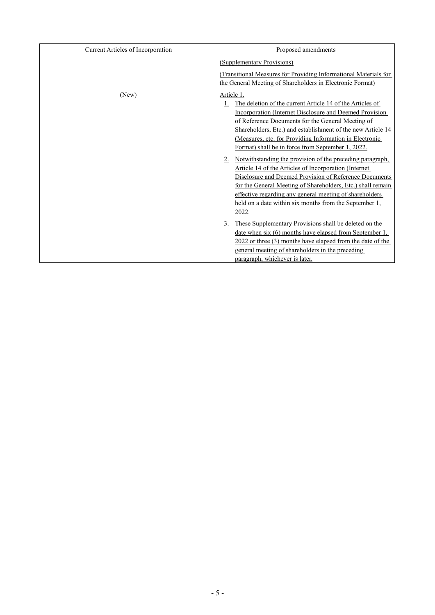| Current Articles of Incorporation | Proposed amendments                                                                                                                                                                                                                                                                                                                                                                                                                                                                                                                                                                                                                                                                                                                                        |  |  |  |
|-----------------------------------|------------------------------------------------------------------------------------------------------------------------------------------------------------------------------------------------------------------------------------------------------------------------------------------------------------------------------------------------------------------------------------------------------------------------------------------------------------------------------------------------------------------------------------------------------------------------------------------------------------------------------------------------------------------------------------------------------------------------------------------------------------|--|--|--|
|                                   | (Supplementary Provisions)                                                                                                                                                                                                                                                                                                                                                                                                                                                                                                                                                                                                                                                                                                                                 |  |  |  |
|                                   | (Transitional Measures for Providing Informational Materials for<br>the General Meeting of Shareholders in Electronic Format)                                                                                                                                                                                                                                                                                                                                                                                                                                                                                                                                                                                                                              |  |  |  |
| (New)                             | Article 1.<br>The deletion of the current Article 14 of the Articles of<br><b>Incorporation (Internet Disclosure and Deemed Provision</b><br>of Reference Documents for the General Meeting of<br>Shareholders, Etc.) and establishment of the new Article 14<br>(Measures, etc. for Providing Information in Electronic<br>Format) shall be in force from September 1, 2022.<br>Notwithstanding the provision of the preceding paragraph,<br>Article 14 of the Articles of Incorporation (Internet<br>Disclosure and Deemed Provision of Reference Documents<br>for the General Meeting of Shareholders, Etc.) shall remain<br>effective regarding any general meeting of shareholders<br>held on a date within six months from the September 1,<br>2022. |  |  |  |
|                                   | These Supplementary Provisions shall be deleted on the<br>3.<br>date when six (6) months have elapsed from September 1,<br>2022 or three (3) months have elapsed from the date of the<br>general meeting of shareholders in the preceding<br>paragraph, whichever is later.                                                                                                                                                                                                                                                                                                                                                                                                                                                                                |  |  |  |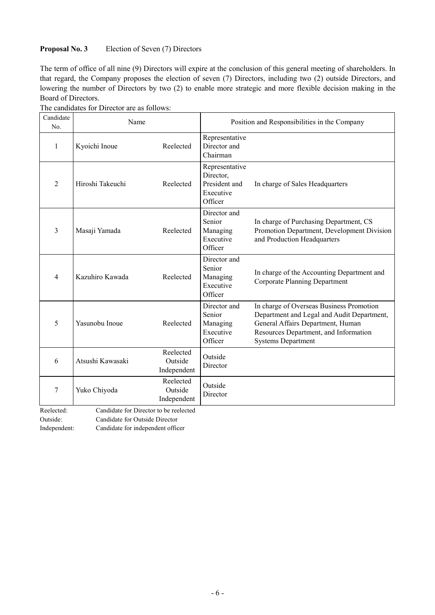# **Proposal No. 3** Election of Seven (7) Directors

The term of office of all nine (9) Directors will expire at the conclusion of this general meeting of shareholders. In that regard, the Company proposes the election of seven (7) Directors, including two (2) outside Directors, and lowering the number of Directors by two (2) to enable more strategic and more flexible decision making in the Board of Directors.

| Candidate<br>No.  | Name                                   |                                     | Position and Responsibilities in the Company                         |                                                                                                                                                                                                   |  |  |
|-------------------|----------------------------------------|-------------------------------------|----------------------------------------------------------------------|---------------------------------------------------------------------------------------------------------------------------------------------------------------------------------------------------|--|--|
| 1                 | Kyoichi Inoue                          | Reelected                           | Representative<br>Director and<br>Chairman                           |                                                                                                                                                                                                   |  |  |
| $\overline{2}$    | Hiroshi Takeuchi                       | Reelected                           | Representative<br>Director,<br>President and<br>Executive<br>Officer | In charge of Sales Headquarters                                                                                                                                                                   |  |  |
| 3                 | Masaji Yamada                          | Reelected                           | Director and<br>Senior<br>Managing<br>Executive<br>Officer           | In charge of Purchasing Department, CS<br>Promotion Department, Development Division<br>and Production Headquarters                                                                               |  |  |
| 4                 | Kazuhiro Kawada                        | Reelected                           | Director and<br>Senior<br>Managing<br>Executive<br>Officer           | In charge of the Accounting Department and<br><b>Corporate Planning Department</b>                                                                                                                |  |  |
| 5                 | Yasunobu Inoue                         | Reelected                           | Director and<br>Senior<br>Managing<br>Executive<br>Officer           | In charge of Overseas Business Promotion<br>Department and Legal and Audit Department,<br>General Affairs Department, Human<br>Resources Department, and Information<br><b>Systems Department</b> |  |  |
| 6                 | Atsushi Kawasaki                       | Reelected<br>Outside<br>Independent | Outside<br>Director                                                  |                                                                                                                                                                                                   |  |  |
| 7                 | Yuko Chiyoda                           | Reelected<br>Outside<br>Independent | Outside<br>Director                                                  |                                                                                                                                                                                                   |  |  |
| $D$ as $l$ as $d$ | Condidate for Director to be realacted |                                     |                                                                      |                                                                                                                                                                                                   |  |  |

The candidates for Director are as follows:

Reelected: Candidate for Director to be reelected

Outside: Candidate for Outside Director

Independent: Candidate for independent officer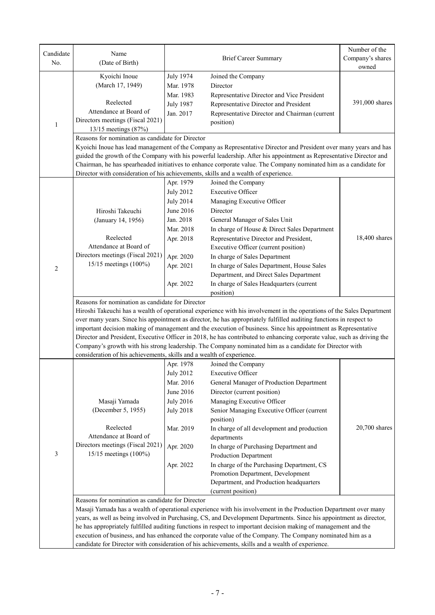| Candidate<br>No. | Name<br>(Date of Birth)                                                                                                |                                                                                                                     | <b>Brief Career Summary</b>                                                                                             | Number of the<br>Company's shares<br>owned |  |  |  |  |
|------------------|------------------------------------------------------------------------------------------------------------------------|---------------------------------------------------------------------------------------------------------------------|-------------------------------------------------------------------------------------------------------------------------|--------------------------------------------|--|--|--|--|
|                  | Kyoichi Inoue                                                                                                          | <b>July 1974</b>                                                                                                    | Joined the Company                                                                                                      |                                            |  |  |  |  |
|                  | (March 17, 1949)                                                                                                       | Mar. 1978<br>Director                                                                                               |                                                                                                                         |                                            |  |  |  |  |
|                  |                                                                                                                        | Mar. 1983                                                                                                           | Representative Director and Vice President                                                                              |                                            |  |  |  |  |
|                  | Reelected                                                                                                              | <b>July 1987</b>                                                                                                    | Representative Director and President                                                                                   | 391,000 shares                             |  |  |  |  |
|                  | Attendance at Board of                                                                                                 | Jan. 2017                                                                                                           | Representative Director and Chairman (current                                                                           |                                            |  |  |  |  |
| $\mathbf{1}$     | Directors meetings (Fiscal 2021)<br>13/15 meetings (87%)                                                               |                                                                                                                     | position)                                                                                                               |                                            |  |  |  |  |
|                  | Reasons for nomination as candidate for Director                                                                       |                                                                                                                     |                                                                                                                         |                                            |  |  |  |  |
|                  |                                                                                                                        |                                                                                                                     | Kyoichi Inoue has lead management of the Company as Representative Director and President over many years and has       |                                            |  |  |  |  |
|                  |                                                                                                                        | guided the growth of the Company with his powerful leadership. After his appointment as Representative Director and |                                                                                                                         |                                            |  |  |  |  |
|                  |                                                                                                                        |                                                                                                                     | Chairman, he has spearheaded initiatives to enhance corporate value. The Company nominated him as a candidate for       |                                            |  |  |  |  |
|                  | Director with consideration of his achievements, skills and a wealth of experience.                                    |                                                                                                                     |                                                                                                                         |                                            |  |  |  |  |
|                  |                                                                                                                        | Apr. 1979                                                                                                           | Joined the Company                                                                                                      |                                            |  |  |  |  |
|                  |                                                                                                                        | <b>July 2012</b>                                                                                                    | <b>Executive Officer</b>                                                                                                |                                            |  |  |  |  |
|                  |                                                                                                                        | <b>July 2014</b>                                                                                                    | Managing Executive Officer                                                                                              |                                            |  |  |  |  |
|                  | Hiroshi Takeuchi                                                                                                       | June 2016                                                                                                           | Director                                                                                                                |                                            |  |  |  |  |
|                  | (January 14, 1956)                                                                                                     | Jan. 2018                                                                                                           | General Manager of Sales Unit                                                                                           |                                            |  |  |  |  |
|                  |                                                                                                                        | Mar. 2018                                                                                                           | In charge of House & Direct Sales Department                                                                            |                                            |  |  |  |  |
|                  | Reelected                                                                                                              | Apr. 2018                                                                                                           | Representative Director and President,                                                                                  | 18,400 shares                              |  |  |  |  |
|                  | Attendance at Board of                                                                                                 |                                                                                                                     | Executive Officer (current position)                                                                                    |                                            |  |  |  |  |
|                  | Directors meetings (Fiscal 2021)                                                                                       | Apr. 2020                                                                                                           | In charge of Sales Department                                                                                           |                                            |  |  |  |  |
| $\mathfrak{2}$   | 15/15 meetings (100%)                                                                                                  | Apr. 2021                                                                                                           |                                                                                                                         |                                            |  |  |  |  |
|                  |                                                                                                                        |                                                                                                                     | In charge of Sales Department, House Sales<br>Department, and Direct Sales Department                                   |                                            |  |  |  |  |
|                  |                                                                                                                        | Apr. 2022                                                                                                           | In charge of Sales Headquarters (current                                                                                |                                            |  |  |  |  |
|                  | position)<br>Reasons for nomination as candidate for Director                                                          |                                                                                                                     |                                                                                                                         |                                            |  |  |  |  |
|                  | Hiroshi Takeuchi has a wealth of operational experience with his involvement in the operations of the Sales Department |                                                                                                                     |                                                                                                                         |                                            |  |  |  |  |
|                  | over many years. Since his appointment as director, he has appropriately fulfilled auditing functions in respect to    |                                                                                                                     |                                                                                                                         |                                            |  |  |  |  |
|                  | important decision making of management and the execution of business. Since his appointment as Representative         |                                                                                                                     |                                                                                                                         |                                            |  |  |  |  |
|                  |                                                                                                                        |                                                                                                                     | Director and President, Executive Officer in 2018, he has contributed to enhancing corporate value, such as driving the |                                            |  |  |  |  |
|                  | Company's growth with his strong leadership. The Company nominated him as a candidate for Director with                |                                                                                                                     |                                                                                                                         |                                            |  |  |  |  |
|                  | consideration of his achievements, skills and a wealth of experience.                                                  |                                                                                                                     |                                                                                                                         |                                            |  |  |  |  |
|                  |                                                                                                                        | Apr. 1978                                                                                                           | Joined the Company                                                                                                      |                                            |  |  |  |  |
|                  |                                                                                                                        | <b>July 2012</b>                                                                                                    | <b>Executive Officer</b>                                                                                                |                                            |  |  |  |  |
|                  |                                                                                                                        | Mar. 2016                                                                                                           | General Manager of Production Department                                                                                |                                            |  |  |  |  |
|                  |                                                                                                                        | June 2016                                                                                                           | Director (current position)                                                                                             |                                            |  |  |  |  |
|                  | Masaji Yamada                                                                                                          | <b>July 2016</b>                                                                                                    | Managing Executive Officer                                                                                              |                                            |  |  |  |  |
|                  | (December 5, 1955)                                                                                                     | <b>July 2018</b>                                                                                                    | Senior Managing Executive Officer (current                                                                              |                                            |  |  |  |  |
|                  |                                                                                                                        |                                                                                                                     | position)                                                                                                               |                                            |  |  |  |  |
|                  | Reelected                                                                                                              | Mar. 2019                                                                                                           | In charge of all development and production                                                                             | $20,700$ shares                            |  |  |  |  |
|                  | Attendance at Board of                                                                                                 |                                                                                                                     | departments                                                                                                             |                                            |  |  |  |  |
|                  | Directors meetings (Fiscal 2021)                                                                                       | Apr. 2020                                                                                                           | In charge of Purchasing Department and                                                                                  |                                            |  |  |  |  |
| 3                | 15/15 meetings (100%)                                                                                                  |                                                                                                                     | Production Department                                                                                                   |                                            |  |  |  |  |
|                  |                                                                                                                        | Apr. 2022                                                                                                           | In charge of the Purchasing Department, CS                                                                              |                                            |  |  |  |  |
|                  |                                                                                                                        |                                                                                                                     | Promotion Department, Development                                                                                       |                                            |  |  |  |  |
|                  |                                                                                                                        |                                                                                                                     | Department, and Production headquarters                                                                                 |                                            |  |  |  |  |
|                  |                                                                                                                        |                                                                                                                     | (current position)                                                                                                      |                                            |  |  |  |  |
|                  | Reasons for nomination as candidate for Director                                                                       |                                                                                                                     |                                                                                                                         |                                            |  |  |  |  |
|                  | Masaji Yamada has a wealth of operational experience with his involvement in the Production Department over many       |                                                                                                                     |                                                                                                                         |                                            |  |  |  |  |
|                  | years, as well as being involved in Purchasing, CS, and Development Departments. Since his appointment as director,    |                                                                                                                     |                                                                                                                         |                                            |  |  |  |  |
|                  |                                                                                                                        |                                                                                                                     | he has appropriately fulfilled auditing functions in respect to important decision making of management and the         |                                            |  |  |  |  |
|                  | execution of business, and has enhanced the corporate value of the Company. The Company nominated him as a             |                                                                                                                     |                                                                                                                         |                                            |  |  |  |  |
|                  | candidate for Director with consideration of his achievements, skills and a wealth of experience.                      |                                                                                                                     |                                                                                                                         |                                            |  |  |  |  |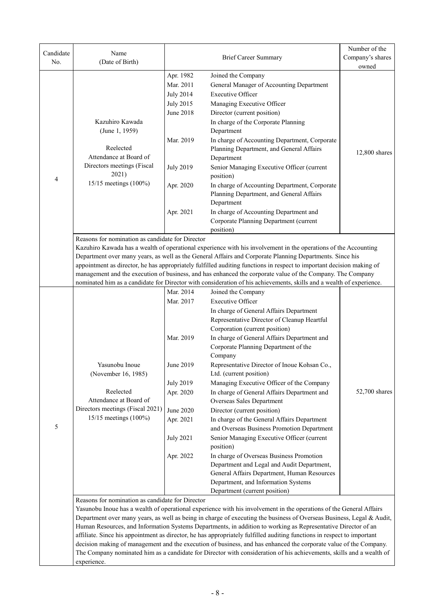| Candidate<br>No. | Name<br>(Date of Birth)                                                                                                                                                                                                                                                                                                                                                                                                                                                                                                                                                                                                                                                                                                                                                                                  |                                                                                                                                                                                                                                                                                                                                                                                                                                                                                                                                                                                                                                                                                                                                    | Number of the<br>Company's shares<br>owned                                                                                                                                                                                                                                                                                                                                                                                                                                                                                                                                                                                                                                                                                                                                                                                                                                               |               |  |  |
|------------------|----------------------------------------------------------------------------------------------------------------------------------------------------------------------------------------------------------------------------------------------------------------------------------------------------------------------------------------------------------------------------------------------------------------------------------------------------------------------------------------------------------------------------------------------------------------------------------------------------------------------------------------------------------------------------------------------------------------------------------------------------------------------------------------------------------|------------------------------------------------------------------------------------------------------------------------------------------------------------------------------------------------------------------------------------------------------------------------------------------------------------------------------------------------------------------------------------------------------------------------------------------------------------------------------------------------------------------------------------------------------------------------------------------------------------------------------------------------------------------------------------------------------------------------------------|------------------------------------------------------------------------------------------------------------------------------------------------------------------------------------------------------------------------------------------------------------------------------------------------------------------------------------------------------------------------------------------------------------------------------------------------------------------------------------------------------------------------------------------------------------------------------------------------------------------------------------------------------------------------------------------------------------------------------------------------------------------------------------------------------------------------------------------------------------------------------------------|---------------|--|--|
| 4                | Kazuhiro Kawada<br>(June 1, 1959)<br>Reelected<br>Attendance at Board of<br>Directors meetings (Fiscal<br>2021)<br>15/15 meetings (100%)                                                                                                                                                                                                                                                                                                                                                                                                                                                                                                                                                                                                                                                                 | Apr. 1982<br>Joined the Company<br>Mar. 2011<br>General Manager of Accounting Department<br><b>Executive Officer</b><br><b>July 2014</b><br><b>July 2015</b><br>Managing Executive Officer<br><b>June 2018</b><br>Director (current position)<br>In charge of the Corporate Planning<br>Department<br>Mar. 2019<br>In charge of Accounting Department, Corporate<br>Planning Department, and General Affairs<br>Department<br><b>July 2019</b><br>Senior Managing Executive Officer (current<br>position)<br>Apr. 2020<br>In charge of Accounting Department, Corporate<br>Planning Department, and General Affairs<br>Department<br>In charge of Accounting Department and<br>Apr. 2021<br>Corporate Planning Department (current |                                                                                                                                                                                                                                                                                                                                                                                                                                                                                                                                                                                                                                                                                                                                                                                                                                                                                          | 12,800 shares |  |  |
|                  | position)<br>Reasons for nomination as candidate for Director<br>Kazuhiro Kawada has a wealth of operational experience with his involvement in the operations of the Accounting<br>Department over many years, as well as the General Affairs and Corporate Planning Departments. Since his<br>appointment as director, he has appropriately fulfilled auditing functions in respect to important decision making of<br>management and the execution of business, and has enhanced the corporate value of the Company. The Company<br>nominated him as a candidate for Director with consideration of his achievements, skills and a wealth of experience.                                                                                                                                              |                                                                                                                                                                                                                                                                                                                                                                                                                                                                                                                                                                                                                                                                                                                                    |                                                                                                                                                                                                                                                                                                                                                                                                                                                                                                                                                                                                                                                                                                                                                                                                                                                                                          |               |  |  |
| 5                | Yasunobu Inoue<br>(November 16, 1985)<br>Reelected<br>Attendance at Board of<br>Directors meetings (Fiscal 2021)<br>15/15 meetings (100%)                                                                                                                                                                                                                                                                                                                                                                                                                                                                                                                                                                                                                                                                | Mar. 2014<br>Mar. 2017<br>Mar. 2019<br>June 2019<br><b>July 2019</b><br>Apr. 2020<br>June 2020<br>Apr. 2021<br><b>July 2021</b><br>Apr. 2022                                                                                                                                                                                                                                                                                                                                                                                                                                                                                                                                                                                       | Joined the Company<br><b>Executive Officer</b><br>In charge of General Affairs Department<br>Representative Director of Cleanup Heartful<br>Corporation (current position)<br>In charge of General Affairs Department and<br>Corporate Planning Department of the<br>Company<br>Representative Director of Inoue Kohsan Co.,<br>Ltd. (current position)<br>Managing Executive Officer of the Company<br>In charge of General Affairs Department and<br>Overseas Sales Department<br>Director (current position)<br>In charge of the General Affairs Department<br>and Overseas Business Promotion Department<br>Senior Managing Executive Officer (current<br>position)<br>In charge of Overseas Business Promotion<br>Department and Legal and Audit Department,<br>General Affairs Department, Human Resources<br>Department, and Information Systems<br>Department (current position) | 52,700 shares |  |  |
|                  | Reasons for nomination as candidate for Director<br>Yasunobu Inoue has a wealth of operational experience with his involvement in the operations of the General Affairs<br>Department over many years, as well as being in charge of executing the business of Overseas Business, Legal & Audit,<br>Human Resources, and Information Systems Departments, in addition to working as Representative Director of an<br>affiliate. Since his appointment as director, he has appropriately fulfilled auditing functions in respect to important<br>decision making of management and the execution of business, and has enhanced the corporate value of the Company.<br>The Company nominated him as a candidate for Director with consideration of his achievements, skills and a wealth of<br>experience. |                                                                                                                                                                                                                                                                                                                                                                                                                                                                                                                                                                                                                                                                                                                                    |                                                                                                                                                                                                                                                                                                                                                                                                                                                                                                                                                                                                                                                                                                                                                                                                                                                                                          |               |  |  |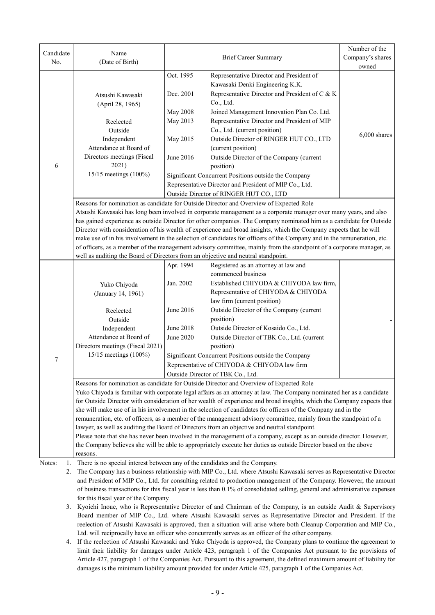| Candidate    | Name                                                                                                                                                                                                                                            |                                                        | Number of the                                                                                                                |                |  |  |  |  |
|--------------|-------------------------------------------------------------------------------------------------------------------------------------------------------------------------------------------------------------------------------------------------|--------------------------------------------------------|------------------------------------------------------------------------------------------------------------------------------|----------------|--|--|--|--|
| No.          | (Date of Birth)                                                                                                                                                                                                                                 |                                                        | <b>Brief Career Summary</b><br>Company's shares                                                                              |                |  |  |  |  |
|              |                                                                                                                                                                                                                                                 |                                                        |                                                                                                                              | owned          |  |  |  |  |
|              |                                                                                                                                                                                                                                                 | Oct. 1995                                              | Representative Director and President of                                                                                     |                |  |  |  |  |
|              |                                                                                                                                                                                                                                                 |                                                        | Kawasaki Denki Engineering K.K.                                                                                              |                |  |  |  |  |
|              | Atsushi Kawasaki                                                                                                                                                                                                                                | Dec. 2001                                              | Representative Director and President of C & K                                                                               |                |  |  |  |  |
|              | (April 28, 1965)                                                                                                                                                                                                                                |                                                        | Co., Ltd.                                                                                                                    |                |  |  |  |  |
|              |                                                                                                                                                                                                                                                 | <b>May 2008</b>                                        | Joined Management Innovation Plan Co. Ltd.                                                                                   |                |  |  |  |  |
|              | Reelected<br>Outside                                                                                                                                                                                                                            | May 2013                                               | Representative Director and President of MIP<br>Co., Ltd. (current position)                                                 |                |  |  |  |  |
|              | Independent                                                                                                                                                                                                                                     | May 2015                                               | Outside Director of RINGER HUT CO., LTD                                                                                      | $6,000$ shares |  |  |  |  |
|              | Attendance at Board of                                                                                                                                                                                                                          |                                                        | (current position)                                                                                                           |                |  |  |  |  |
|              | Directors meetings (Fiscal                                                                                                                                                                                                                      | June 2016                                              |                                                                                                                              |                |  |  |  |  |
| 6            | 2021)                                                                                                                                                                                                                                           |                                                        |                                                                                                                              |                |  |  |  |  |
|              | 15/15 meetings (100%)                                                                                                                                                                                                                           | Significant Concurrent Positions outside the Company   |                                                                                                                              |                |  |  |  |  |
|              |                                                                                                                                                                                                                                                 | Representative Director and President of MIP Co., Ltd. |                                                                                                                              |                |  |  |  |  |
|              |                                                                                                                                                                                                                                                 |                                                        | Outside Director of RINGER HUT CO., LTD                                                                                      |                |  |  |  |  |
|              |                                                                                                                                                                                                                                                 |                                                        | Reasons for nomination as candidate for Outside Director and Overview of Expected Role                                       |                |  |  |  |  |
|              |                                                                                                                                                                                                                                                 |                                                        | Atsushi Kawasaki has long been involved in corporate management as a corporate manager over many years, and also             |                |  |  |  |  |
|              |                                                                                                                                                                                                                                                 |                                                        | has gained experience as outside Director for other companies. The Company nominated him as a candidate for Outside          |                |  |  |  |  |
|              |                                                                                                                                                                                                                                                 |                                                        | Director with consideration of his wealth of experience and broad insights, which the Company expects that he will           |                |  |  |  |  |
|              |                                                                                                                                                                                                                                                 |                                                        | make use of in his involvement in the selection of candidates for officers of the Company and in the remuneration, etc.      |                |  |  |  |  |
|              |                                                                                                                                                                                                                                                 |                                                        | of officers, as a member of the management advisory committee, mainly from the standpoint of a corporate manager, as         |                |  |  |  |  |
|              | well as auditing the Board of Directors from an objective and neutral standpoint.                                                                                                                                                               |                                                        |                                                                                                                              |                |  |  |  |  |
|              |                                                                                                                                                                                                                                                 | Apr. 1994                                              | Registered as an attorney at law and                                                                                         |                |  |  |  |  |
|              |                                                                                                                                                                                                                                                 |                                                        | commenced business                                                                                                           |                |  |  |  |  |
|              | Yuko Chiyoda                                                                                                                                                                                                                                    | Jan. 2002                                              | Established CHIYODA & CHIYODA law firm,                                                                                      |                |  |  |  |  |
|              | (January 14, 1961)                                                                                                                                                                                                                              |                                                        | Representative of CHIYODA & CHIYODA                                                                                          |                |  |  |  |  |
|              |                                                                                                                                                                                                                                                 |                                                        | law firm (current position)<br>Outside Director of the Company (current                                                      |                |  |  |  |  |
|              | Reelected                                                                                                                                                                                                                                       | June 2016                                              |                                                                                                                              |                |  |  |  |  |
|              | Outside                                                                                                                                                                                                                                         |                                                        | position)<br>Outside Director of Kosaido Co., Ltd.                                                                           |                |  |  |  |  |
|              | Independent                                                                                                                                                                                                                                     | <b>June 2018</b>                                       |                                                                                                                              |                |  |  |  |  |
|              | Attendance at Board of                                                                                                                                                                                                                          | <b>June 2020</b>                                       |                                                                                                                              |                |  |  |  |  |
|              | Directors meetings (Fiscal 2021)                                                                                                                                                                                                                |                                                        |                                                                                                                              |                |  |  |  |  |
| 7            | 15/15 meetings (100%)                                                                                                                                                                                                                           | Significant Concurrent Positions outside the Company   |                                                                                                                              |                |  |  |  |  |
|              |                                                                                                                                                                                                                                                 | Representative of CHIYODA & CHIYODA law firm           |                                                                                                                              |                |  |  |  |  |
|              | Outside Director of TBK Co., Ltd.                                                                                                                                                                                                               |                                                        |                                                                                                                              |                |  |  |  |  |
|              | Reasons for nomination as candidate for Outside Director and Overview of Expected Role                                                                                                                                                          |                                                        |                                                                                                                              |                |  |  |  |  |
|              | Yuko Chiyoda is familiar with corporate legal affairs as an attorney at law. The Company nominated her as a candidate<br>for Outside Director with consideration of her wealth of experience and broad insights, which the Company expects that |                                                        |                                                                                                                              |                |  |  |  |  |
|              | she will make use of in his involvement in the selection of candidates for officers of the Company and in the                                                                                                                                   |                                                        |                                                                                                                              |                |  |  |  |  |
|              | remuneration, etc. of officers, as a member of the management advisory committee, mainly from the standpoint of a                                                                                                                               |                                                        |                                                                                                                              |                |  |  |  |  |
|              | lawyer, as well as auditing the Board of Directors from an objective and neutral standpoint.                                                                                                                                                    |                                                        |                                                                                                                              |                |  |  |  |  |
|              | Please note that she has never been involved in the management of a company, except as an outside director. However,                                                                                                                            |                                                        |                                                                                                                              |                |  |  |  |  |
|              |                                                                                                                                                                                                                                                 |                                                        | the Company believes she will be able to appropriately execute her duties as outside Director based on the above             |                |  |  |  |  |
|              | reasons.                                                                                                                                                                                                                                        |                                                        |                                                                                                                              |                |  |  |  |  |
| Notes:<br>1. | There is no special interest between any of the candidates and the Company.                                                                                                                                                                     |                                                        |                                                                                                                              |                |  |  |  |  |
| 2.           |                                                                                                                                                                                                                                                 |                                                        | The Company has a business relationship with MIP Co., Ltd. where Atsushi Kawasaki serves as Representative Director          |                |  |  |  |  |
|              | and President of MIP Co., Ltd. for consulting related to production management of the Company. However, the amount                                                                                                                              |                                                        |                                                                                                                              |                |  |  |  |  |
|              |                                                                                                                                                                                                                                                 |                                                        | of business transactions for this fiscal year is less than 0.1% of consolidated selling, general and administrative expenses |                |  |  |  |  |

3. Kyoichi Inoue, who is Representative Director of and Chairman of the Company, is an outside Audit & Supervisory Board member of MIP Co., Ltd. where Atsushi Kawasaki serves as Representative Director and President. If the reelection of Atsushi Kawasaki is approved, then a situation will arise where both Cleanup Corporation and MIP Co., Ltd. will reciprocally have an officer who concurrently serves as an officer of the other company.

for this fiscal year of the Company.

4. If the reelection of Atsushi Kawasaki and Yuko Chiyoda is approved, the Company plans to continue the agreement to limit their liability for damages under Article 423, paragraph 1 of the Companies Act pursuant to the provisions of Article 427, paragraph 1 of the Companies Act. Pursuant to this agreement, the defined maximum amount of liability for damages is the minimum liability amount provided for under Article 425, paragraph 1 of the Companies Act.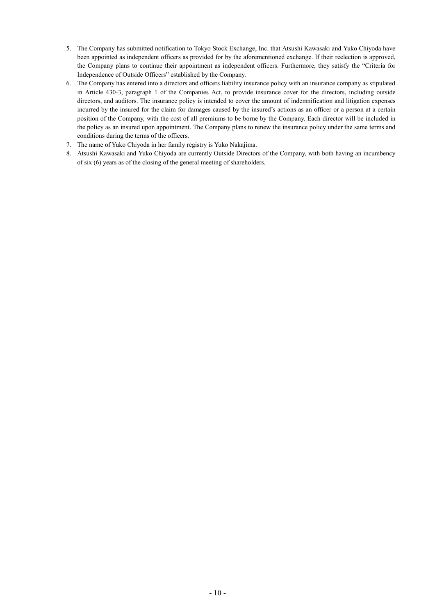- 5. The Company has submitted notification to Tokyo Stock Exchange, Inc. that Atsushi Kawasaki and Yuko Chiyoda have been appointed as independent officers as provided for by the aforementioned exchange. If their reelection is approved, the Company plans to continue their appointment as independent officers. Furthermore, they satisfy the "Criteria for Independence of Outside Officers" established by the Company.
- 6. The Company has entered into a directors and officers liability insurance policy with an insurance company as stipulated in Article 430-3, paragraph 1 of the Companies Act, to provide insurance cover for the directors, including outside directors, and auditors. The insurance policy is intended to cover the amount of indemnification and litigation expenses incurred by the insured for the claim for damages caused by the insured's actions as an officer or a person at a certain position of the Company, with the cost of all premiums to be borne by the Company. Each director will be included in the policy as an insured upon appointment. The Company plans to renew the insurance policy under the same terms and conditions during the terms of the officers.
- 7. The name of Yuko Chiyoda in her family registry is Yuko Nakajima.
- 8. Atsushi Kawasaki and Yuko Chiyoda are currently Outside Directors of the Company, with both having an incumbency of six (6) years as of the closing of the general meeting of shareholders.